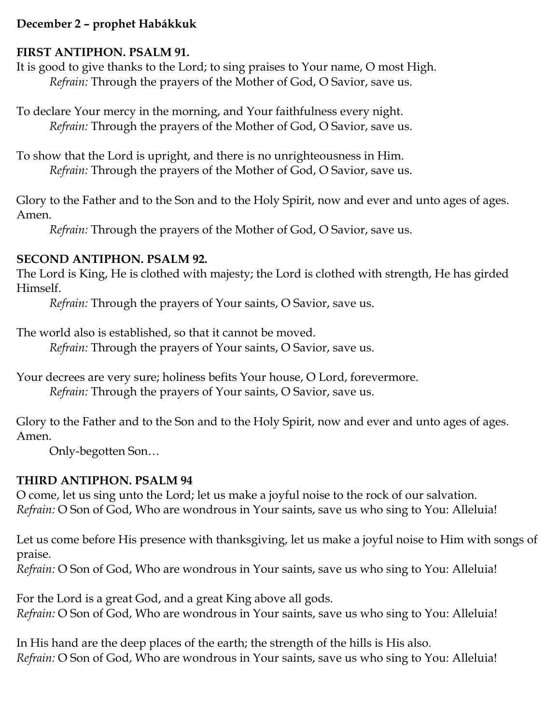### **December 2 – prophet Habákkuk**

#### **FIRST ANTIPHON. PSALM 91.**

It is good to give thanks to the Lord; to sing praises to Your name, O most High. *Refrain:* Through the prayers of the Mother of God, O Savior, save us.

To declare Your mercy in the morning, and Your faithfulness every night. *Refrain:* Through the prayers of the Mother of God, O Savior, save us.

To show that the Lord is upright, and there is no unrighteousness in Him. *Refrain:* Through the prayers of the Mother of God, O Savior, save us.

Glory to the Father and to the Son and to the Holy Spirit, now and ever and unto ages of ages. Amen.

*Refrain:* Through the prayers of the Mother of God, O Savior, save us.

### **SECOND ANTIPHON. PSALM 92.**

The Lord is King, He is clothed with majesty; the Lord is clothed with strength, He has girded Himself.

*Refrain:* Through the prayers of Your saints, O Savior, save us.

The world also is established, so that it cannot be moved.

*Refrain:* Through the prayers of Your saints, O Savior, save us.

Your decrees are very sure; holiness befits Your house, O Lord, forevermore. *Refrain:* Through the prayers of Your saints, O Savior, save us.

Glory to the Father and to the Son and to the Holy Spirit, now and ever and unto ages of ages. Amen.

Only-begotten Son…

# **THIRD ANTIPHON. PSALM 94**

O come, let us sing unto the Lord; let us make a joyful noise to the rock of our salvation. *Refrain:* O Son of God, Who are wondrous in Your saints, save us who sing to You: Alleluia!

Let us come before His presence with thanksgiving, let us make a joyful noise to Him with songs of praise.

*Refrain:* O Son of God, Who are wondrous in Your saints, save us who sing to You: Alleluia!

For the Lord is a great God, and a great King above all gods. *Refrain:* O Son of God, Who are wondrous in Your saints, save us who sing to You: Alleluia!

In His hand are the deep places of the earth; the strength of the hills is His also. *Refrain:* O Son of God, Who are wondrous in Your saints, save us who sing to You: Alleluia!